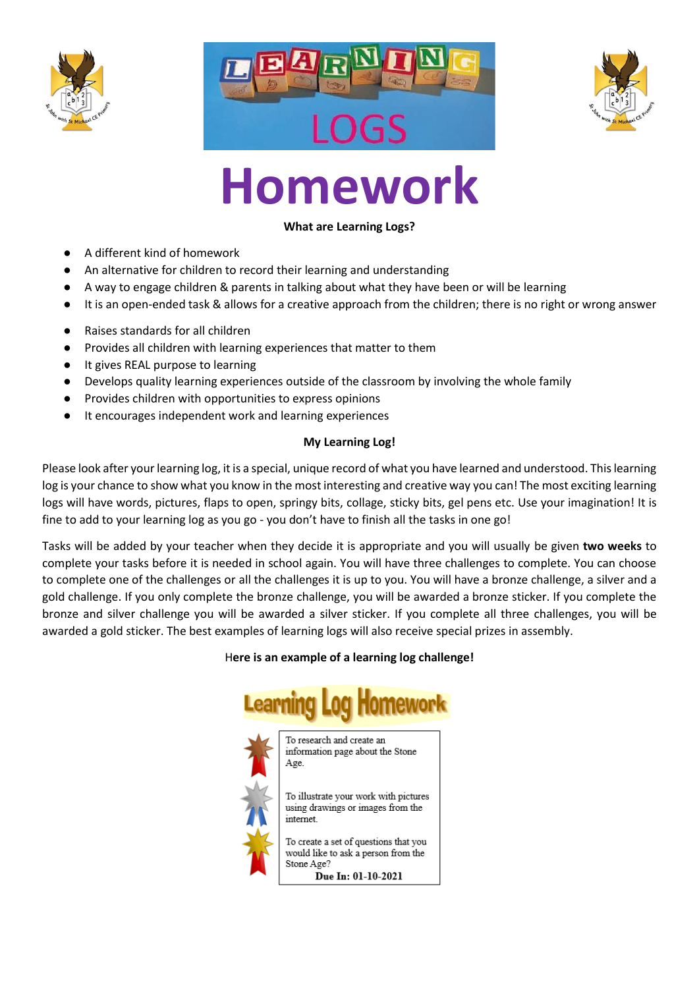





# **Homework**

# **What are Learning Logs?**

- A different kind of homework
- An alternative for children to record their learning and understanding
- A way to engage children & parents in talking about what they have been or will be learning
- It is an open-ended task & allows for a creative approach from the children; there is no right or wrong answer
- Raises standards for all children
- Provides all children with learning experiences that matter to them
- It gives REAL purpose to learning
- Develops quality learning experiences outside of the classroom by involving the whole family
- Provides children with opportunities to express opinions
- It encourages independent work and learning experiences

## **My Learning Log!**

Please look after your learning log, it is a special, unique record of what you have learned and understood. This learning log is your chance to show what you know in the most interesting and creative way you can! The most exciting learning logs will have words, pictures, flaps to open, springy bits, collage, sticky bits, gel pens etc. Use your imagination! It is fine to add to your learning log as you go - you don't have to finish all the tasks in one go!

Tasks will be added by your teacher when they decide it is appropriate and you will usually be given **two weeks** to complete your tasks before it is needed in school again. You will have three challenges to complete. You can choose to complete one of the challenges or all the challenges it is up to you. You will have a bronze challenge, a silver and a gold challenge. If you only complete the bronze challenge, you will be awarded a bronze sticker. If you complete the bronze and silver challenge you will be awarded a silver sticker. If you complete all three challenges, you will be awarded a gold sticker. The best examples of learning logs will also receive special prizes in assembly.

## H**ere is an example of a learning log challenge!**

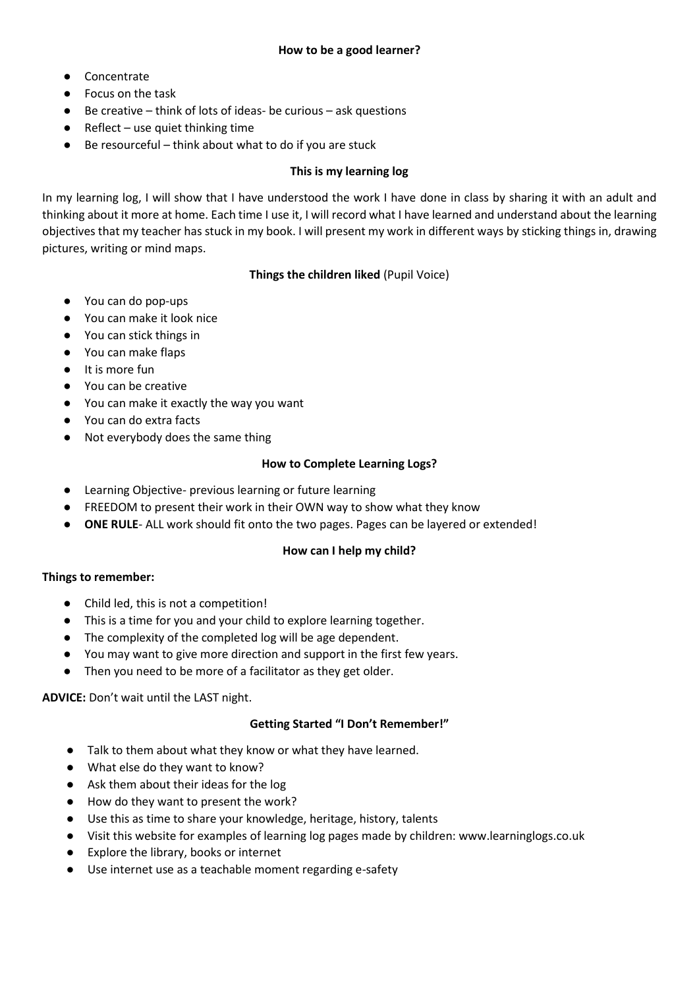- Concentrate
- Focus on the task
- $\bullet$  Be creative think of lots of ideas- be curious ask questions
- $\bullet$  Reflect use quiet thinking time
- Be resourceful think about what to do if you are stuck

## **This is my learning log**

In my learning log, I will show that I have understood the work I have done in class by sharing it with an adult and thinking about it more at home. Each time I use it, I will record what I have learned and understand about the learning objectives that my teacher has stuck in my book. I will present my work in different ways by sticking things in, drawing pictures, writing or mind maps.

## **Things the children liked** (Pupil Voice)

- You can do pop-ups
- You can make it look nice
- You can stick things in
- You can make flaps
- It is more fun
- You can be creative
- You can make it exactly the way you want
- You can do extra facts
- Not everybody does the same thing

## **How to Complete Learning Logs?**

- Learning Objective- previous learning or future learning
- FREEDOM to present their work in their OWN way to show what they know
- **ONE RULE** ALL work should fit onto the two pages. Pages can be layered or extended!

## **How can I help my child?**

#### **Things to remember:**

- Child led, this is not a competition!
- This is a time for you and your child to explore learning together.
- The complexity of the completed log will be age dependent.
- You may want to give more direction and support in the first few years.
- Then you need to be more of a facilitator as they get older.

## **ADVICE:** Don't wait until the LAST night.

## **Getting Started "I Don't Remember!"**

- Talk to them about what they know or what they have learned.
- What else do they want to know?
- Ask them about their ideas for the log
- How do they want to present the work?
- Use this as time to share your knowledge, heritage, history, talents
- Visit this website for examples of learning log pages made by children: www.learninglogs.co.uk
- Explore the library, books or internet
- Use internet use as a teachable moment regarding e-safety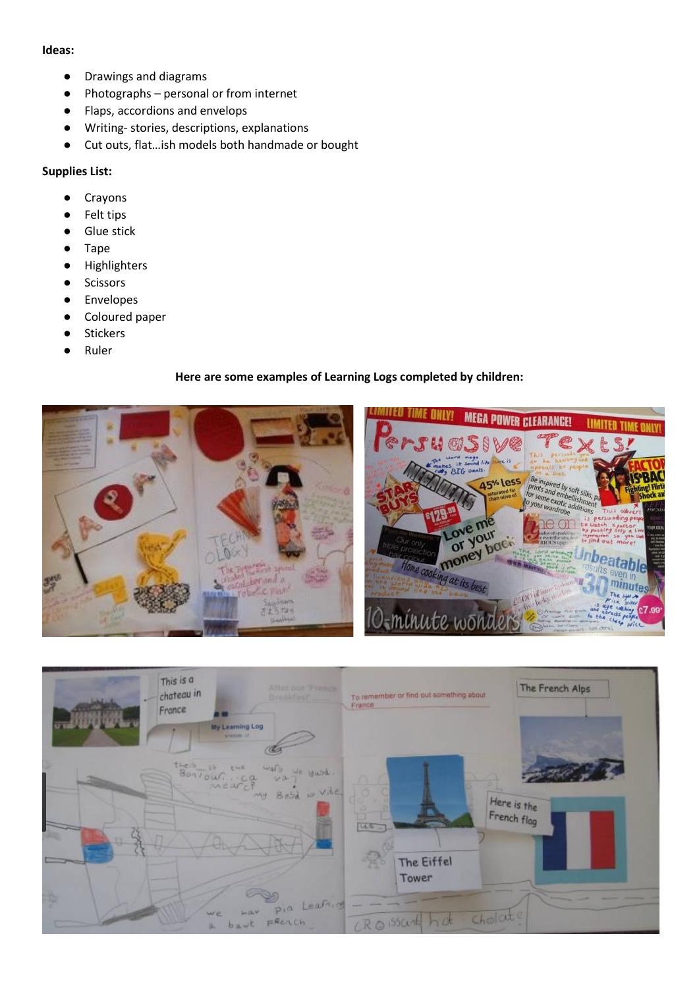#### **Ideas:**

- Drawings and diagrams
- Photographs personal or from internet
- Flaps, accordions and envelops
- Writing- stories, descriptions, explanations
- Cut outs, flat…ish models both handmade or bought

#### **Supplies List:**

- Crayons
- Felt tips
- Glue stick
- Tape
- Highlighters
- Scissors
- Envelopes
- Coloured paper
- Stickers
- Ruler

#### **Here are some examples of Learning Logs completed by children:**